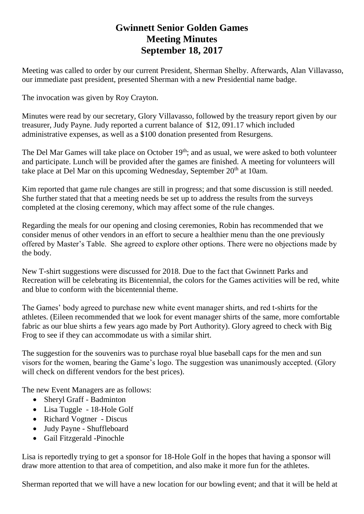## **Gwinnett Senior Golden Games Meeting Minutes September 18, 2017**

Meeting was called to order by our current President, Sherman Shelby. Afterwards, Alan Villavasso, our immediate past president, presented Sherman with a new Presidential name badge.

The invocation was given by Roy Crayton.

Minutes were read by our secretary, Glory Villavasso, followed by the treasury report given by our treasurer, Judy Payne. Judy reported a current balance of \$12, 091.17 which included administrative expenses, as well as a \$100 donation presented from Resurgens.

The Del Mar Games will take place on October 19<sup>th</sup>; and as usual, we were asked to both volunteer and participate. Lunch will be provided after the games are finished. A meeting for volunteers will take place at Del Mar on this upcoming Wednesday, September 20<sup>th</sup> at 10am.

Kim reported that game rule changes are still in progress; and that some discussion is still needed. She further stated that that a meeting needs be set up to address the results from the surveys completed at the closing ceremony, which may affect some of the rule changes.

Regarding the meals for our opening and closing ceremonies, Robin has recommended that we consider menus of other vendors in an effort to secure a healthier menu than the one previously offered by Master's Table. She agreed to explore other options. There were no objections made by the body.

New T-shirt suggestions were discussed for 2018. Due to the fact that Gwinnett Parks and Recreation will be celebrating its Bicentennial, the colors for the Games activities will be red, white and blue to conform with the bicentennial theme.

The Games' body agreed to purchase new white event manager shirts, and red t-shirts for the athletes. (Eileen recommended that we look for event manager shirts of the same, more comfortable fabric as our blue shirts a few years ago made by Port Authority). Glory agreed to check with Big Frog to see if they can accommodate us with a similar shirt.

The suggestion for the souvenirs was to purchase royal blue baseball caps for the men and sun visors for the women, bearing the Game's logo. The suggestion was unanimously accepted. (Glory will check on different vendors for the best prices).

The new Event Managers are as follows:

- Sheryl Graff Badminton
- Lisa Tuggle 18-Hole Golf
- Richard Vogtner Discus
- Judy Payne Shuffleboard
- Gail Fitzgerald -Pinochle

Lisa is reportedly trying to get a sponsor for 18-Hole Golf in the hopes that having a sponsor will draw more attention to that area of competition, and also make it more fun for the athletes.

Sherman reported that we will have a new location for our bowling event; and that it will be held at